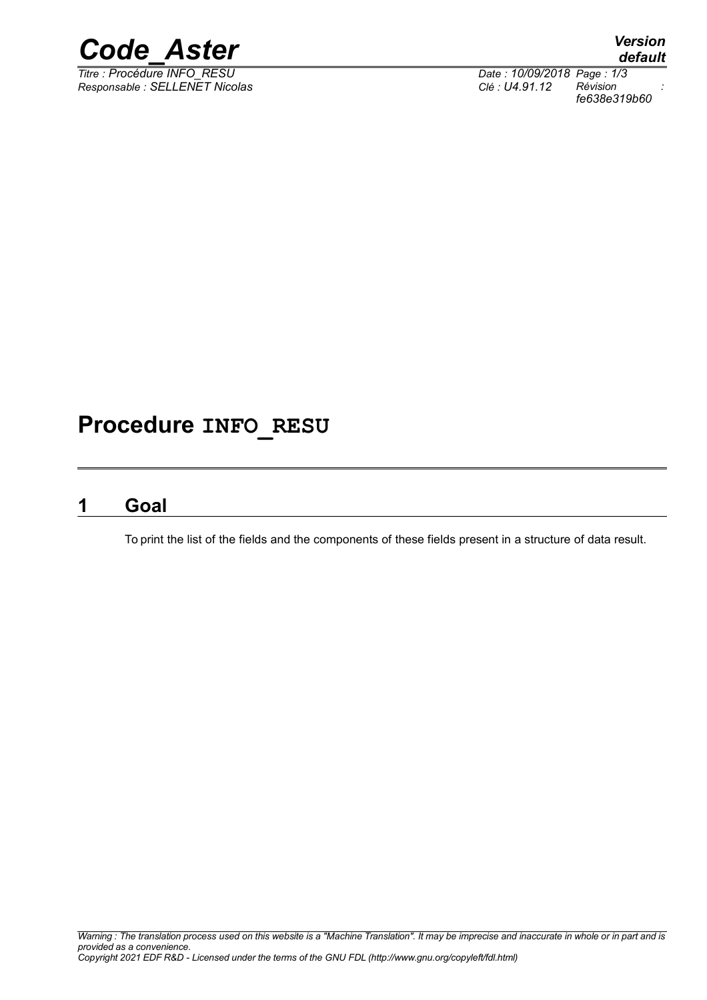

*Titre : Procédure INFO\_RESU Date : 10/09/2018 Page : 1/3 Responsable : SELLENET Nicolas Clé : U4.91.12 Révision :*

*default*

*fe638e319b60*

# **Procedure INFO\_RESU**

## **1 Goal**

To print the list of the fields and the components of these fields present in a structure of data result.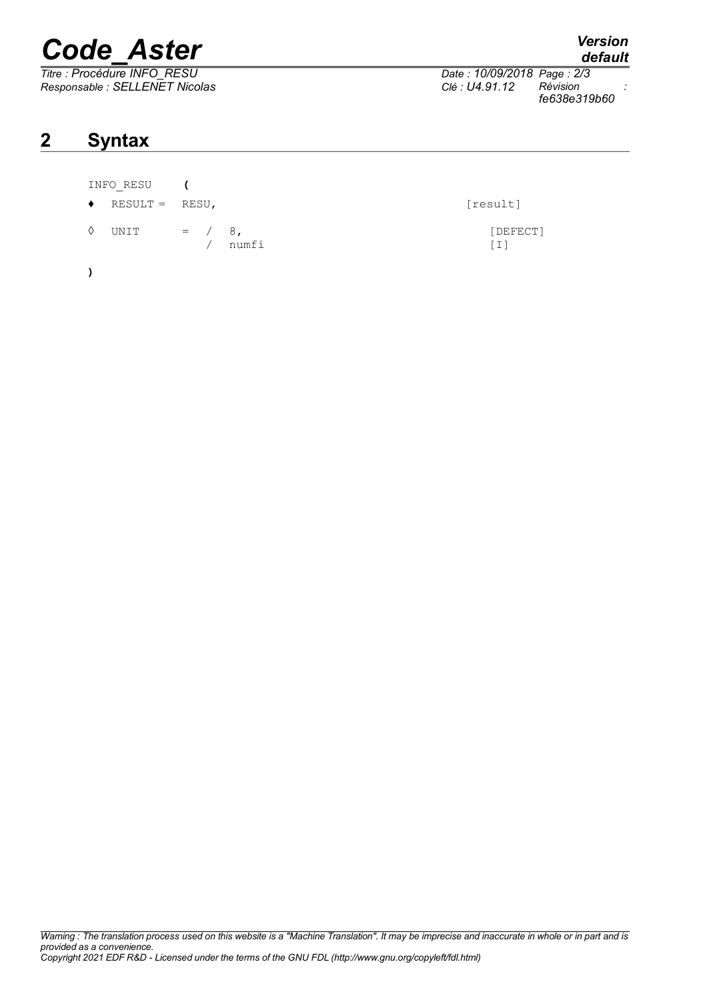# *Code\_Aster Version*

*Titre : Procédure INFO\_RESU Date : 10/09/2018 Page : 2/3*

# **2 Syntax**

### INFO\_RESU **(**

- $\blacklozenge$  RESULT = RESU,  $[result]$
- $\begin{array}{ccc} \Diamond & \text{UNIT} & = & / & 8, \\ & / & \text{numfi} & \end{array}$  [DEFECT] numfi
- **)**